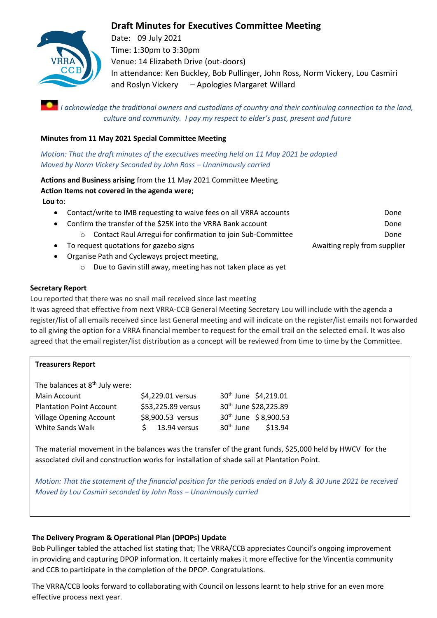# **Draft Minutes for Executives Committee Meeting**



Date: 09 July 2021 Time: 1:30pm to 3:30pm Venue: 14 Elizabeth Drive (out-doors) In attendance: Ken Buckley, Bob Pullinger, John Ross, Norm Vickery, Lou Casmiri and Roslyn Vickery – Apologies Margaret Willard

*I acknowledge the traditional owners and custodians of country and their continuing connection to the land, culture and community. I pay my respect to elder's past, present and future*

#### **Minutes from 11 May 2021 Special Committee Meeting**

*Motion: That the draft minutes of the executives meeting held on 11 May 2021 be adopted Moved by Norm Vickery Seconded by John Ross – Unanimously carried*

**Actions and Business arising** from the 11 May 2021 Committee Meeting **Action Items not covered in the agenda were; Lou** to:

- Contact/write to IMB requesting to waive fees on all VRRA accounts **DONE**
- Confirm the transfer of the \$25K into the VRRA Bank account **Done** 
	- o Contact Raul Arregui for confirmation to join Sub-Committee Done
- To request quotations for gazebo signs Awaiting reply from supplier
- Organise Path and Cycleways project meeting,
	- o Due to Gavin still away, meeting has not taken place as yet

#### **Secretary Report**

Lou reported that there was no snail mail received since last meeting

It was agreed that effective from next VRRA-CCB General Meeting Secretary Lou will include with the agenda a register/list of all emails received since last General meeting and will indicate on the register/list emails not forwarded to all giving the option for a VRRA financial member to request for the email trail on the selected email. It was also agreed that the email register/list distribution as a concept will be reviewed from time to time by the Committee.

#### **Treasurers Report**

The balances at  $8<sup>th</sup>$  July were: Main Account \$4,229.01 versus 30<sup>th</sup> June \$4,219.01 Plantation Point Account \$53,225.89 versus 30<sup>th</sup> June \$28,225.89 Village Opening Account 58,900.53 versus 30<sup>th</sup> June \$ 8,900.53 White Sands Walk  $\angle$  5 13.94 versus 30<sup>th</sup> June  $\angle$  513.94

The material movement in the balances was the transfer of the grant funds, \$25,000 held by HWCV for the associated civil and construction works for installation of shade sail at Plantation Point.

*Motion: That the statement of the financial position for the periods ended on 8 July & 30 June 2021 be received Moved by Lou Casmiri seconded by John Ross – Unanimously carried*

#### **The Delivery Program & Operational Plan (DPOPs) Update**

Bob Pullinger tabled the attached list stating that; The VRRA/CCB appreciates Council's ongoing improvement in providing and capturing DPOP information. It certainly makes it more effective for the Vincentia community and CCB to participate in the completion of the DPOP. Congratulations.

The VRRA/CCB looks forward to collaborating with Council on lessons learnt to help strive for an even more effective process next year.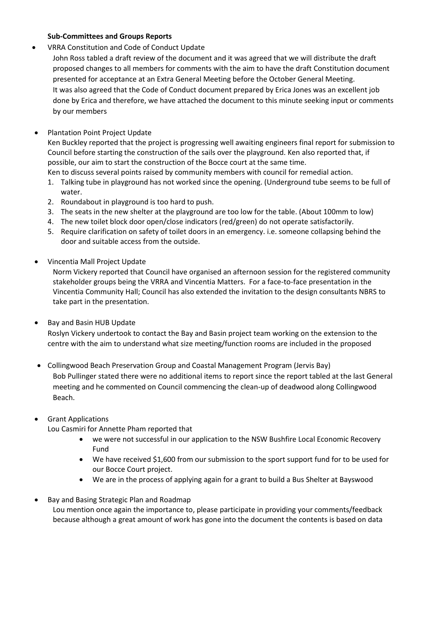#### **Sub-Committees and Groups Reports**

• VRRA Constitution and Code of Conduct Update

John Ross tabled a draft review of the document and it was agreed that we will distribute the draft proposed changes to all members for comments with the aim to have the draft Constitution document presented for acceptance at an Extra General Meeting before the October General Meeting. It was also agreed that the Code of Conduct document prepared by Erica Jones was an excellent job done by Erica and therefore, we have attached the document to this minute seeking input or comments by our members

• Plantation Point Project Update

Ken Buckley reported that the project is progressing well awaiting engineers final report for submission to Council before starting the construction of the sails over the playground. Ken also reported that, if possible, our aim to start the construction of the Bocce court at the same time.

Ken to discuss several points raised by community members with council for remedial action.

- 1. Talking tube in playground has not worked since the opening. (Underground tube seems to be full of water.
- 2. Roundabout in playground is too hard to push.
- 3. The seats in the new shelter at the playground are too low for the table. (About 100mm to low)
- 4. The new toilet block door open/close indicators (red/green) do not operate satisfactorily.
- 5. Require clarification on safety of toilet doors in an emergency. i.e. someone collapsing behind the door and suitable access from the outside.
- Vincentia Mall Project Update

Norm Vickery reported that Council have organised an afternoon session for the registered community stakeholder groups being the VRRA and Vincentia Matters. For a face-to-face presentation in the Vincentia Community Hall; Council has also extended the invitation to the design consultants NBRS to take part in the presentation.

• Bay and Basin HUB Update

Roslyn Vickery undertook to contact the Bay and Basin project team working on the extension to the centre with the aim to understand what size meeting/function rooms are included in the proposed

- Collingwood Beach Preservation Group and Coastal Management Program (Jervis Bay) Bob Pullinger stated there were no additional items to report since the report tabled at the last General meeting and he commented on Council commencing the clean-up of deadwood along Collingwood Beach.
- Grant Applications

Lou Casmiri for Annette Pham reported that

- we were not successful in our application to the NSW Bushfire Local Economic Recovery Fund
- We have received \$1,600 from our submission to the sport support fund for to be used for our Bocce Court project.
- We are in the process of applying again for a grant to build a Bus Shelter at Bayswood
- Bay and Basing Strategic Plan and Roadmap Lou mention once again the importance to, please participate in providing your comments/feedback because although a great amount of work has gone into the document the contents is based on data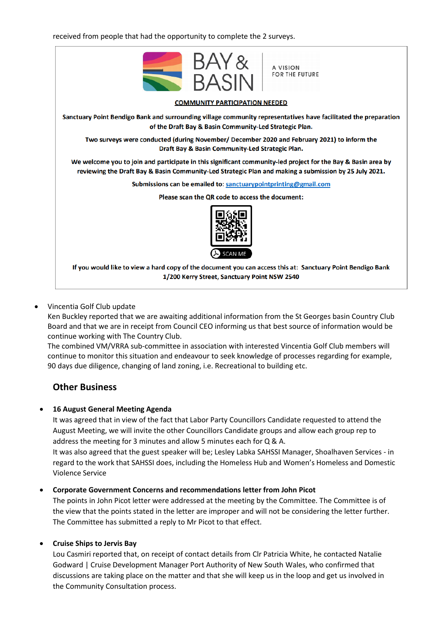received from people that had the opportunity to complete the 2 surveys.



#### • Vincentia Golf Club update

Ken Buckley reported that we are awaiting additional information from the St Georges basin Country Club Board and that we are in receipt from Council CEO informing us that best source of information would be continue working with The Country Club.

The combined VM/VRRA sub-committee in association with interested Vincentia Golf Club members will continue to monitor this situation and endeavour to seek knowledge of processes regarding for example, 90 days due diligence, changing of land zoning, i.e. Recreational to building etc.

## **Other Business**

#### • **16 August General Meeting Agenda**

It was agreed that in view of the fact that Labor Party Councillors Candidate requested to attend the August Meeting, we will invite the other Councillors Candidate groups and allow each group rep to address the meeting for 3 minutes and allow 5 minutes each for Q & A.

It was also agreed that the guest speaker will be; Lesley Labka SAHSSI Manager, Shoalhaven Services - in regard to the work that SAHSSI does, including the Homeless Hub and Women's Homeless and Domestic Violence Service

#### • **Corporate Government Concerns and recommendations letter from John Picot**

The points in John Picot letter were addressed at the meeting by the Committee. The Committee is of the view that the points stated in the letter are improper and will not be considering the letter further. The Committee has submitted a reply to Mr Picot to that effect.

#### • **Cruise Ships to Jervis Bay**

Lou Casmiri reported that, on receipt of contact details from Clr Patricia White, he contacted Natalie Godward | Cruise Development Manager Port Authority of New South Wales, who confirmed that discussions are taking place on the matter and that she will keep us in the loop and get us involved in the Community Consultation process.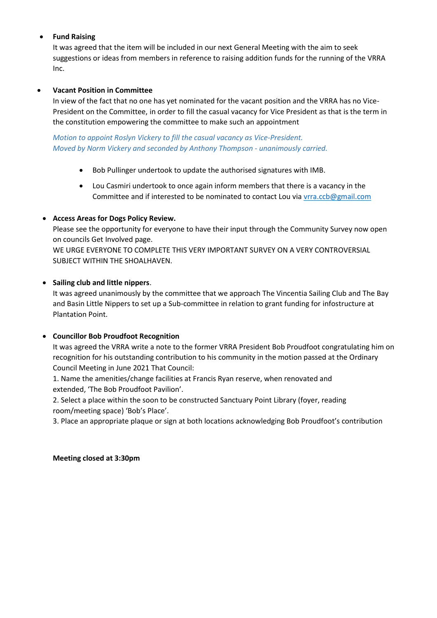### • **Fund Raising**

It was agreed that the item will be included in our next General Meeting with the aim to seek suggestions or ideas from members in reference to raising addition funds for the running of the VRRA Inc.

### • **Vacant Position in Committee**

In view of the fact that no one has yet nominated for the vacant position and the VRRA has no Vice-President on the Committee, in order to fill the casual vacancy for Vice President as that is the term in the constitution empowering the committee to make such an appointment

*Motion to appoint Roslyn Vickery to fill the casual vacancy as Vice-President. Moved by Norm Vickery and seconded by Anthony Thompson - unanimously carried.*

- Bob Pullinger undertook to update the authorised signatures with IMB.
- Lou Casmiri undertook to once again inform members that there is a vacancy in the Committee and if interested to be nominated to contact Lou vi[a vrra.ccb@gmail.com](mailto:vrra.ccb@gmail.com)

#### • **Access Areas for Dogs Policy Review.**

Please see the opportunity for everyone to have their input through the Community Survey now open on councils Get Involved page.

WE URGE EVERYONE TO COMPLETE THIS VERY IMPORTANT SURVEY ON A VERY CONTROVERSIAL SUBJECT WITHIN THE SHOALHAVEN.

#### • **Sailing club and little nippers**.

It was agreed unanimously by the committee that we approach The Vincentia Sailing Club and The Bay and Basin Little Nippers to set up a Sub-committee in relation to grant funding for infostructure at Plantation Point.

#### • **Councillor Bob Proudfoot Recognition**

It was agreed the VRRA write a note to the former VRRA President Bob Proudfoot congratulating him on recognition for his outstanding contribution to his community in the motion passed at the Ordinary Council Meeting in June 2021 That Council:

1. Name the amenities/change facilities at Francis Ryan reserve, when renovated and extended, 'The Bob Proudfoot Pavilion'.

2. Select a place within the soon to be constructed Sanctuary Point Library (foyer, reading room/meeting space) 'Bob's Place'.

3. Place an appropriate plaque or sign at both locations acknowledging Bob Proudfoot's contribution

#### **Meeting closed at 3:30pm**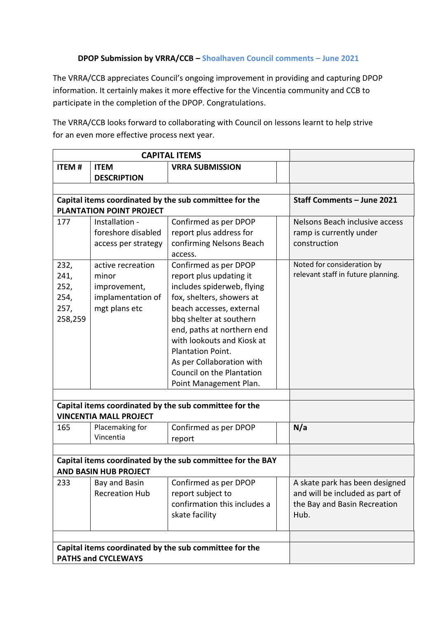### **DPOP Submission by VRRA/CCB – Shoalhaven Council comments – June 2021**

The VRRA/CCB appreciates Council's ongoing improvement in providing and capturing DPOP information. It certainly makes it more effective for the Vincentia community and CCB to participate in the completion of the DPOP. Congratulations.

The VRRA/CCB looks forward to collaborating with Council on lessons learnt to help strive for an even more effective process next year.

| <b>CAPITAL ITEMS</b>                                                                 |                                                                                            |                                                                                                                                                                                                                                                                                                                                         |                                                                                                           |
|--------------------------------------------------------------------------------------|--------------------------------------------------------------------------------------------|-----------------------------------------------------------------------------------------------------------------------------------------------------------------------------------------------------------------------------------------------------------------------------------------------------------------------------------------|-----------------------------------------------------------------------------------------------------------|
| <b>ITEM#</b>                                                                         | <b>ITEM</b>                                                                                | <b>VRRA SUBMISSION</b>                                                                                                                                                                                                                                                                                                                  |                                                                                                           |
|                                                                                      | <b>DESCRIPTION</b>                                                                         |                                                                                                                                                                                                                                                                                                                                         |                                                                                                           |
|                                                                                      |                                                                                            |                                                                                                                                                                                                                                                                                                                                         |                                                                                                           |
|                                                                                      |                                                                                            | Capital items coordinated by the sub committee for the                                                                                                                                                                                                                                                                                  | Staff Comments - June 2021                                                                                |
|                                                                                      | <b>PLANTATION POINT PROJECT</b>                                                            |                                                                                                                                                                                                                                                                                                                                         |                                                                                                           |
| 177                                                                                  | Installation -<br>foreshore disabled<br>access per strategy                                | Confirmed as per DPOP<br>report plus address for<br>confirming Nelsons Beach<br>access.                                                                                                                                                                                                                                                 | Nelsons Beach inclusive access<br>ramp is currently under<br>construction                                 |
| 232,<br>241,<br>252,<br>254,<br>257,<br>258,259                                      | active recreation<br>minor<br>improvement,<br>implamentation of<br>mgt plans etc           | Confirmed as per DPOP<br>report plus updating it<br>includes spiderweb, flying<br>fox, shelters, showers at<br>beach accesses, external<br>bbq shelter at southern<br>end, paths at northern end<br>with lookouts and Kiosk at<br>Plantation Point.<br>As per Collaboration with<br>Council on the Plantation<br>Point Management Plan. | Noted for consideration by<br>relevant staff in future planning.                                          |
|                                                                                      | <b>VINCENTIA MALL PROJECT</b>                                                              | Capital items coordinated by the sub committee for the                                                                                                                                                                                                                                                                                  |                                                                                                           |
| 165                                                                                  | Placemaking for<br>Vincentia                                                               | Confirmed as per DPOP<br>report                                                                                                                                                                                                                                                                                                         | N/a                                                                                                       |
|                                                                                      | Capital items coordinated by the sub committee for the BAY<br><b>AND BASIN HUB PROJECT</b> |                                                                                                                                                                                                                                                                                                                                         |                                                                                                           |
| 233                                                                                  | Bay and Basin<br><b>Recreation Hub</b>                                                     | Confirmed as per DPOP<br>report subject to<br>confirmation this includes a<br>skate facility                                                                                                                                                                                                                                            | A skate park has been designed<br>and will be included as part of<br>the Bay and Basin Recreation<br>Hub. |
| Capital items coordinated by the sub committee for the<br><b>PATHS and CYCLEWAYS</b> |                                                                                            |                                                                                                                                                                                                                                                                                                                                         |                                                                                                           |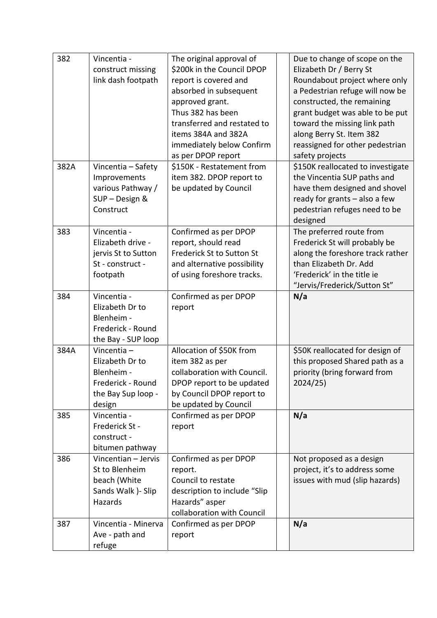| 382  | Vincentia -         | The original approval of     | Due to change of scope on the     |
|------|---------------------|------------------------------|-----------------------------------|
|      | construct missing   | \$200k in the Council DPOP   | Elizabeth Dr / Berry St           |
|      | link dash footpath  | report is covered and        | Roundabout project where only     |
|      |                     | absorbed in subsequent       | a Pedestrian refuge will now be   |
|      |                     | approved grant.              | constructed, the remaining        |
|      |                     | Thus 382 has been            | grant budget was able to be put   |
|      |                     | transferred and restated to  | toward the missing link path      |
|      |                     | items 384A and 382A          | along Berry St. Item 382          |
|      |                     | immediately below Confirm    | reassigned for other pedestrian   |
|      |                     | as per DPOP report           | safety projects                   |
| 382A | Vincentia - Safety  | \$150K - Restatement from    | \$150K reallocated to investigate |
|      | Improvements        | item 382. DPOP report to     | the Vincentia SUP paths and       |
|      | various Pathway /   | be updated by Council        | have them designed and shovel     |
|      | SUP - Design &      |                              | ready for grants - also a few     |
|      | Construct           |                              | pedestrian refuges need to be     |
|      |                     |                              | designed                          |
| 383  | Vincentia -         | Confirmed as per DPOP        | The preferred route from          |
|      | Elizabeth drive -   | report, should read          | Frederick St will probably be     |
|      | jervis St to Sutton | Frederick St to Sutton St    | along the foreshore track rather  |
|      | St - construct -    | and alternative possibility  | than Elizabeth Dr. Add            |
|      | footpath            | of using foreshore tracks.   | 'Frederick' in the title ie       |
|      |                     |                              | "Jervis/Frederick/Sutton St"      |
| 384  | Vincentia -         | Confirmed as per DPOP        | N/a                               |
|      | Elizabeth Dr to     | report                       |                                   |
|      | Blenheim -          |                              |                                   |
|      | Frederick - Round   |                              |                                   |
|      | the Bay - SUP loop  |                              |                                   |
| 384A | Vincentia $-$       | Allocation of \$50K from     | \$50K reallocated for design of   |
|      | Elizabeth Dr to     | item 382 as per              | this proposed Shared path as a    |
|      | Blenheim -          | collaboration with Council.  | priority (bring forward from      |
|      | Frederick - Round   | DPOP report to be updated    | 2024/25)                          |
|      | the Bay Sup loop -  | by Council DPOP report to    |                                   |
|      | design              | be updated by Council        |                                   |
| 385  | Vincentia -         | Confirmed as per DPOP        | N/a                               |
|      | Frederick St -      | report                       |                                   |
|      | construct -         |                              |                                   |
|      | bitumen pathway     |                              |                                   |
| 386  | Vincentian - Jervis | Confirmed as per DPOP        | Not proposed as a design          |
|      | St to Blenheim      | report.                      | project, it's to address some     |
|      | beach (White        | Council to restate           | issues with mud (slip hazards)    |
|      | Sands Walk )- Slip  | description to include "Slip |                                   |
|      | Hazards             | Hazards" asper               |                                   |
|      |                     | collaboration with Council   |                                   |
| 387  | Vincentia - Minerva | Confirmed as per DPOP        | N/a                               |
|      | Ave - path and      | report                       |                                   |
|      | refuge              |                              |                                   |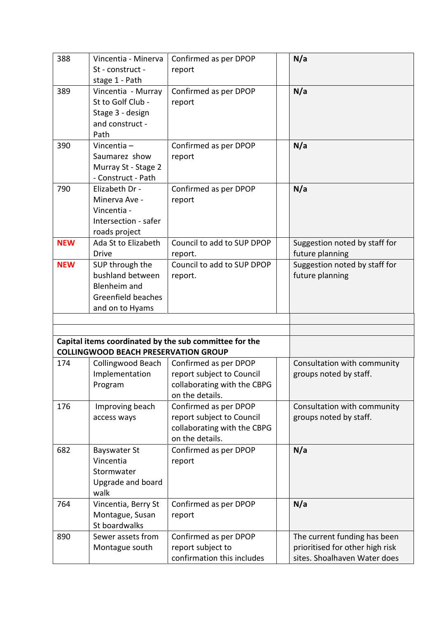| Vincentia - Minerva  | Confirmed as per DPOP                                                                                                                                              |                                                                                                                                                                                                                                                                                           | N/a                                                             |
|----------------------|--------------------------------------------------------------------------------------------------------------------------------------------------------------------|-------------------------------------------------------------------------------------------------------------------------------------------------------------------------------------------------------------------------------------------------------------------------------------------|-----------------------------------------------------------------|
| St - construct -     | report                                                                                                                                                             |                                                                                                                                                                                                                                                                                           |                                                                 |
| stage 1 - Path       |                                                                                                                                                                    |                                                                                                                                                                                                                                                                                           |                                                                 |
| Vincentia - Murray   | Confirmed as per DPOP                                                                                                                                              |                                                                                                                                                                                                                                                                                           | N/a                                                             |
| St to Golf Club -    | report                                                                                                                                                             |                                                                                                                                                                                                                                                                                           |                                                                 |
| Stage 3 - design     |                                                                                                                                                                    |                                                                                                                                                                                                                                                                                           |                                                                 |
| and construct -      |                                                                                                                                                                    |                                                                                                                                                                                                                                                                                           |                                                                 |
| Path                 |                                                                                                                                                                    |                                                                                                                                                                                                                                                                                           |                                                                 |
| Vincentia -          | Confirmed as per DPOP                                                                                                                                              |                                                                                                                                                                                                                                                                                           | N/a                                                             |
| Saumarez show        | report                                                                                                                                                             |                                                                                                                                                                                                                                                                                           |                                                                 |
| Murray St - Stage 2  |                                                                                                                                                                    |                                                                                                                                                                                                                                                                                           |                                                                 |
| - Construct - Path   |                                                                                                                                                                    |                                                                                                                                                                                                                                                                                           |                                                                 |
| Elizabeth Dr -       | Confirmed as per DPOP                                                                                                                                              |                                                                                                                                                                                                                                                                                           | N/a                                                             |
| Minerva Ave -        | report                                                                                                                                                             |                                                                                                                                                                                                                                                                                           |                                                                 |
| Vincentia -          |                                                                                                                                                                    |                                                                                                                                                                                                                                                                                           |                                                                 |
| Intersection - safer |                                                                                                                                                                    |                                                                                                                                                                                                                                                                                           |                                                                 |
| roads project        |                                                                                                                                                                    |                                                                                                                                                                                                                                                                                           |                                                                 |
| Ada St to Elizabeth  | Council to add to SUP DPOP                                                                                                                                         |                                                                                                                                                                                                                                                                                           | Suggestion noted by staff for                                   |
| <b>Drive</b>         | report.                                                                                                                                                            |                                                                                                                                                                                                                                                                                           | future planning                                                 |
| SUP through the      | Council to add to SUP DPOP                                                                                                                                         |                                                                                                                                                                                                                                                                                           | Suggestion noted by staff for                                   |
| bushland between     | report.                                                                                                                                                            |                                                                                                                                                                                                                                                                                           | future planning                                                 |
| Blenheim and         |                                                                                                                                                                    |                                                                                                                                                                                                                                                                                           |                                                                 |
| Greenfield beaches   |                                                                                                                                                                    |                                                                                                                                                                                                                                                                                           |                                                                 |
|                      |                                                                                                                                                                    |                                                                                                                                                                                                                                                                                           |                                                                 |
|                      |                                                                                                                                                                    |                                                                                                                                                                                                                                                                                           |                                                                 |
|                      |                                                                                                                                                                    |                                                                                                                                                                                                                                                                                           |                                                                 |
|                      |                                                                                                                                                                    |                                                                                                                                                                                                                                                                                           |                                                                 |
|                      |                                                                                                                                                                    |                                                                                                                                                                                                                                                                                           |                                                                 |
|                      | Confirmed as per DPOP                                                                                                                                              |                                                                                                                                                                                                                                                                                           | Consultation with community                                     |
|                      |                                                                                                                                                                    |                                                                                                                                                                                                                                                                                           | groups noted by staff.                                          |
|                      |                                                                                                                                                                    |                                                                                                                                                                                                                                                                                           |                                                                 |
|                      | on the details.                                                                                                                                                    |                                                                                                                                                                                                                                                                                           |                                                                 |
|                      |                                                                                                                                                                    |                                                                                                                                                                                                                                                                                           | Consultation with community                                     |
|                      |                                                                                                                                                                    |                                                                                                                                                                                                                                                                                           | groups noted by staff.                                          |
|                      |                                                                                                                                                                    |                                                                                                                                                                                                                                                                                           |                                                                 |
|                      | on the details.                                                                                                                                                    |                                                                                                                                                                                                                                                                                           |                                                                 |
|                      |                                                                                                                                                                    |                                                                                                                                                                                                                                                                                           | N/a                                                             |
| Vincentia            |                                                                                                                                                                    |                                                                                                                                                                                                                                                                                           |                                                                 |
| Stormwater           |                                                                                                                                                                    |                                                                                                                                                                                                                                                                                           |                                                                 |
|                      |                                                                                                                                                                    |                                                                                                                                                                                                                                                                                           |                                                                 |
| walk                 |                                                                                                                                                                    |                                                                                                                                                                                                                                                                                           |                                                                 |
| Vincentia, Berry St  | Confirmed as per DPOP                                                                                                                                              |                                                                                                                                                                                                                                                                                           | N/a                                                             |
|                      | report                                                                                                                                                             |                                                                                                                                                                                                                                                                                           |                                                                 |
| St boardwalks        |                                                                                                                                                                    |                                                                                                                                                                                                                                                                                           |                                                                 |
|                      |                                                                                                                                                                    |                                                                                                                                                                                                                                                                                           |                                                                 |
| Sewer assets from    |                                                                                                                                                                    |                                                                                                                                                                                                                                                                                           |                                                                 |
| Montague south       | Confirmed as per DPOP<br>report subject to                                                                                                                         |                                                                                                                                                                                                                                                                                           | The current funding has been<br>prioritised for other high risk |
|                      | and on to Hyams<br>Collingwood Beach<br>Implementation<br>Program<br>Improving beach<br>access ways<br><b>Bayswater St</b><br>Upgrade and board<br>Montague, Susan | Capital items coordinated by the sub committee for the<br><b>COLLINGWOOD BEACH PRESERVATION GROUP</b><br>report subject to Council<br>collaborating with the CBPG<br>Confirmed as per DPOP<br>report subject to Council<br>collaborating with the CBPG<br>Confirmed as per DPOP<br>report |                                                                 |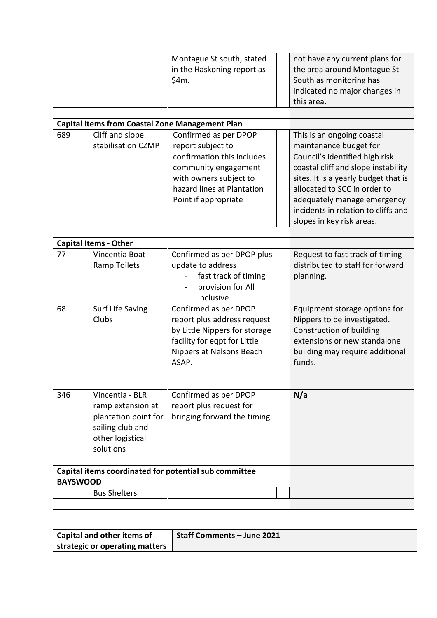|                                                                          |                                                        | Montague St south, stated                  |  | not have any current plans for                       |
|--------------------------------------------------------------------------|--------------------------------------------------------|--------------------------------------------|--|------------------------------------------------------|
|                                                                          |                                                        | in the Haskoning report as                 |  | the area around Montague St                          |
|                                                                          |                                                        | \$4m.                                      |  | South as monitoring has                              |
|                                                                          |                                                        |                                            |  | indicated no major changes in                        |
|                                                                          |                                                        |                                            |  | this area.                                           |
|                                                                          |                                                        |                                            |  |                                                      |
|                                                                          | <b>Capital items from Coastal Zone Management Plan</b> |                                            |  |                                                      |
| 689                                                                      | Cliff and slope<br>stabilisation CZMP                  | Confirmed as per DPOP<br>report subject to |  | This is an ongoing coastal<br>maintenance budget for |
|                                                                          |                                                        | confirmation this includes                 |  | Council's identified high risk                       |
|                                                                          |                                                        | community engagement                       |  | coastal cliff and slope instability                  |
|                                                                          |                                                        | with owners subject to                     |  | sites. It is a yearly budget that is                 |
|                                                                          |                                                        | hazard lines at Plantation                 |  | allocated to SCC in order to                         |
|                                                                          |                                                        | Point if appropriate                       |  | adequately manage emergency                          |
|                                                                          |                                                        |                                            |  | incidents in relation to cliffs and                  |
|                                                                          |                                                        |                                            |  | slopes in key risk areas.                            |
|                                                                          |                                                        |                                            |  |                                                      |
|                                                                          | <b>Capital Items - Other</b>                           |                                            |  |                                                      |
| 77                                                                       | Vincentia Boat                                         | Confirmed as per DPOP plus                 |  | Request to fast track of timing                      |
|                                                                          | <b>Ramp Toilets</b>                                    | update to address                          |  | distributed to staff for forward                     |
|                                                                          |                                                        | fast track of timing                       |  | planning.                                            |
|                                                                          |                                                        | provision for All                          |  |                                                      |
|                                                                          |                                                        | inclusive                                  |  |                                                      |
| 68                                                                       | Surf Life Saving                                       | Confirmed as per DPOP                      |  | Equipment storage options for                        |
|                                                                          | Clubs                                                  | report plus address request                |  | Nippers to be investigated.                          |
|                                                                          |                                                        | by Little Nippers for storage              |  | Construction of building                             |
|                                                                          |                                                        | facility for eqpt for Little               |  | extensions or new standalone                         |
|                                                                          |                                                        | Nippers at Nelsons Beach                   |  | building may require additional                      |
|                                                                          |                                                        | ASAP.                                      |  | funds.                                               |
|                                                                          |                                                        |                                            |  |                                                      |
| 346                                                                      | Vincentia - BLR                                        | Confirmed as per DPOP                      |  | N/a                                                  |
|                                                                          | ramp extension at                                      | report plus request for                    |  |                                                      |
|                                                                          | plantation point for                                   | bringing forward the timing.               |  |                                                      |
|                                                                          | sailing club and                                       |                                            |  |                                                      |
|                                                                          | other logistical                                       |                                            |  |                                                      |
|                                                                          | solutions                                              |                                            |  |                                                      |
|                                                                          |                                                        |                                            |  |                                                      |
| Capital items coordinated for potential sub committee<br><b>BAYSWOOD</b> |                                                        |                                            |  |                                                      |
|                                                                          | <b>Bus Shelters</b>                                    |                                            |  |                                                      |
|                                                                          |                                                        |                                            |  |                                                      |

| <b>Capital and other items of</b> | Staff Comments - June 2021 |
|-----------------------------------|----------------------------|
| strategic or operating matters    |                            |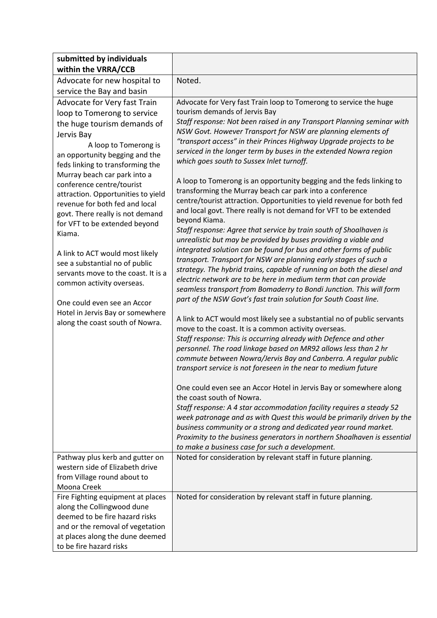| submitted by individuals                                           |                                                                                                                                  |
|--------------------------------------------------------------------|----------------------------------------------------------------------------------------------------------------------------------|
| within the VRRA/CCB                                                |                                                                                                                                  |
| Advocate for new hospital to                                       | Noted.                                                                                                                           |
| service the Bay and basin                                          |                                                                                                                                  |
| Advocate for Very fast Train                                       | Advocate for Very fast Train loop to Tomerong to service the huge                                                                |
| loop to Tomerong to service                                        | tourism demands of Jervis Bay                                                                                                    |
| the huge tourism demands of                                        | Staff response: Not been raised in any Transport Planning seminar with                                                           |
| Jervis Bay                                                         | NSW Govt. However Transport for NSW are planning elements of                                                                     |
| A loop to Tomerong is                                              | "transport access" in their Princes Highway Upgrade projects to be                                                               |
| an opportunity begging and the                                     | serviced in the longer term by buses in the extended Nowra region                                                                |
| feds linking to transforming the                                   | which goes south to Sussex Inlet turnoff.                                                                                        |
| Murray beach car park into a                                       |                                                                                                                                  |
| conference centre/tourist                                          | A loop to Tomerong is an opportunity begging and the feds linking to<br>transforming the Murray beach car park into a conference |
| attraction. Opportunities to yield                                 | centre/tourist attraction. Opportunities to yield revenue for both fed                                                           |
| revenue for both fed and local                                     | and local govt. There really is not demand for VFT to be extended                                                                |
| govt. There really is not demand                                   | beyond Kiama.                                                                                                                    |
| for VFT to be extended beyond                                      | Staff response: Agree that service by train south of Shoalhaven is                                                               |
| Kiama.                                                             | unrealistic but may be provided by buses providing a viable and                                                                  |
| A link to ACT would most likely                                    | integrated solution can be found for bus and other forms of public                                                               |
| see a substantial no of public                                     | transport. Transport for NSW are planning early stages of such a                                                                 |
| servants move to the coast. It is a                                | strategy. The hybrid trains, capable of running on both the diesel and                                                           |
| common activity overseas.                                          | electric network are to be here in medium term that can provide                                                                  |
|                                                                    | seamless transport from Bomaderry to Bondi Junction. This will form                                                              |
| One could even see an Accor                                        | part of the NSW Govt's fast train solution for South Coast line.                                                                 |
| Hotel in Jervis Bay or somewhere                                   |                                                                                                                                  |
| along the coast south of Nowra.                                    | A link to ACT would most likely see a substantial no of public servants                                                          |
|                                                                    | move to the coast. It is a common activity overseas.<br>Staff response: This is occurring already with Defence and other         |
|                                                                    | personnel. The road linkage based on MR92 allows less than 2 hr                                                                  |
|                                                                    | commute between Nowra/Jervis Bay and Canberra. A regular public                                                                  |
|                                                                    | transport service is not foreseen in the near to medium future                                                                   |
|                                                                    |                                                                                                                                  |
|                                                                    | One could even see an Accor Hotel in Jervis Bay or somewhere along                                                               |
|                                                                    | the coast south of Nowra.                                                                                                        |
|                                                                    | Staff response: A 4 star accommodation facility requires a steady 52                                                             |
|                                                                    | week patronage and as with Quest this would be primarily driven by the                                                           |
|                                                                    | business community or a strong and dedicated year round market.                                                                  |
|                                                                    | Proximity to the business generators in northern Shoalhaven is essential                                                         |
|                                                                    | to make a business case for such a development.                                                                                  |
| Pathway plus kerb and gutter on<br>western side of Elizabeth drive | Noted for consideration by relevant staff in future planning.                                                                    |
| from Village round about to                                        |                                                                                                                                  |
| Moona Creek                                                        |                                                                                                                                  |
| Fire Fighting equipment at places                                  | Noted for consideration by relevant staff in future planning.                                                                    |
| along the Collingwood dune                                         |                                                                                                                                  |
| deemed to be fire hazard risks                                     |                                                                                                                                  |
| and or the removal of vegetation                                   |                                                                                                                                  |
| at places along the dune deemed                                    |                                                                                                                                  |
| to be fire hazard risks                                            |                                                                                                                                  |